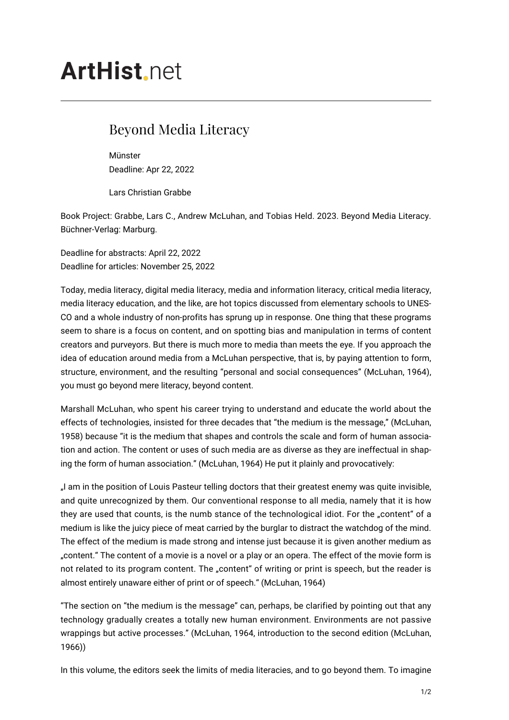## **ArtHist** net

## Beyond Media Literacy

Münster Deadline: Apr 22, 2022

Lars Christian Grabbe

Book Project: Grabbe, Lars C., Andrew McLuhan, and Tobias Held. 2023. Beyond Media Literacy. Büchner-Verlag: Marburg.

Deadline for abstracts: April 22, 2022 Deadline for articles: November 25, 2022

Today, media literacy, digital media literacy, media and information literacy, critical media literacy, media literacy education, and the like, are hot topics discussed from elementary schools to UNES-CO and a whole industry of non-profits has sprung up in response. One thing that these programs seem to share is a focus on content, and on spotting bias and manipulation in terms of content creators and purveyors. But there is much more to media than meets the eye. If you approach the idea of education around media from a McLuhan perspective, that is, by paying attention to form, structure, environment, and the resulting "personal and social consequences" (McLuhan, 1964), you must go beyond mere literacy, beyond content.

Marshall McLuhan, who spent his career trying to understand and educate the world about the effects of technologies, insisted for three decades that "the medium is the message," (McLuhan, 1958) because "it is the medium that shapes and controls the scale and form of human association and action. The content or uses of such media are as diverse as they are ineffectual in shaping the form of human association." (McLuhan, 1964) He put it plainly and provocatively:

"I am in the position of Louis Pasteur telling doctors that their greatest enemy was quite invisible, and quite unrecognized by them. Our conventional response to all media, namely that it is how they are used that counts, is the numb stance of the technological idiot. For the "content" of a medium is like the juicy piece of meat carried by the burglar to distract the watchdog of the mind. The effect of the medium is made strong and intense just because it is given another medium as "content." The content of a movie is a novel or a play or an opera. The effect of the movie form is not related to its program content. The "content" of writing or print is speech, but the reader is almost entirely unaware either of print or of speech." (McLuhan, 1964)

"The section on "the medium is the message" can, perhaps, be clarified by pointing out that any technology gradually creates a totally new human environment. Environments are not passive wrappings but active processes." (McLuhan, 1964, introduction to the second edition (McLuhan, 1966))

In this volume, the editors seek the limits of media literacies, and to go beyond them. To imagine